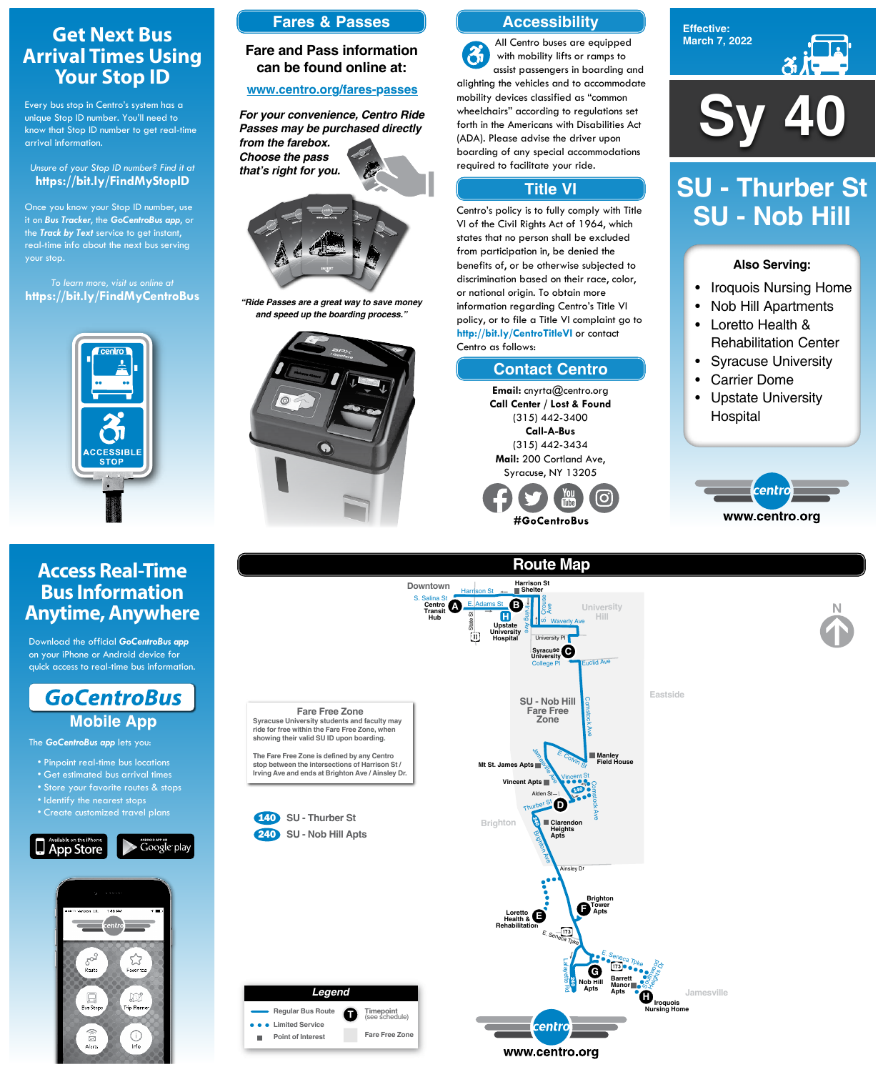**Effective: March 7, 2022**



#### **Also Serving:**

- Iroquois Nursing Home
- Nob Hill Apartments
- Loretto Health & Rehabilitation Center
- Syracuse University
- Carrier Dome
- Upstate University Hospital



# **SU - Thurber St SU - Nob Hill**

**Sy 40**





**Route Map**



# **Get Next Bus Arrival Times Using Your Stop ID**

Every bus stop in Centro's system has a unique Stop ID number. You'll need to know that Stop ID number to get real-time arrival information.

#### *Unsure of your Stop ID number? Find it at* **https://bit.ly/FindMyStopID**

Once you know your Stop ID number, use it on *Bus Tracker*, the *GoCentroBus app*, or the *Track by Text* service to get instant, real-time info about the next bus serving your stop.

*To learn more, visit us online at* **https://bit.ly/FindMyCentroBus**



# **Access Real-Time Bus Information Anytime, Anywhere**

Download the official *GoCentroBus app* on your iPhone or Android device for quick access to real-time bus information.



The *GoCentroBus app* lets you:

- Pinpoint real-time bus locations
- Get estimated bus arrival times
- Store your favorite routes & stops
- 
- Identify the nearest stops
- Create customized travel plans





## **Accessibility**

## **Contact Centro**

## **Title VI**

All Centro buses are equipped  $\mathcal{Z}_1$ with mobility lifts or ramps to assist passengers in boarding and alighting the vehicles and to accommodate mobility devices classified as "common wheelchairs" according to regulations set forth in the Americans with Disabilities Act (ADA). Please advise the driver upon boarding of any special accommodations required to facilitate your ride.

Centro's policy is to fully comply with Title VI of the Civil Rights Act of 1964, which states that no person shall be excluded from participation in, be denied the benefits of, or be otherwise subjected to discrimination based on their race, color, or national origin. To obtain more information regarding Centro's Title VI policy, or to file a Title VI complaint go to **http://bit.ly/CentroTitleVI** or contact Centro as follows:

> **Email:** cnyrta@centro.org **Call Center / Lost & Found** (315) 442-3400 **Call-A-Bus** (315) 442-3434 **Mail:** 200 Cortland Ave, Syracuse, NY 13205



### **Fares & Passes**

## **Fare and Pass information can be found online at:**

#### **www.centro.org/fares-passes**



*"Ride Passes are a great way to save money and speed up the boarding process."*



*For your convenience, Centro Ride Passes may be purchased directly from the farebox. Choose the pass that's right for you.*